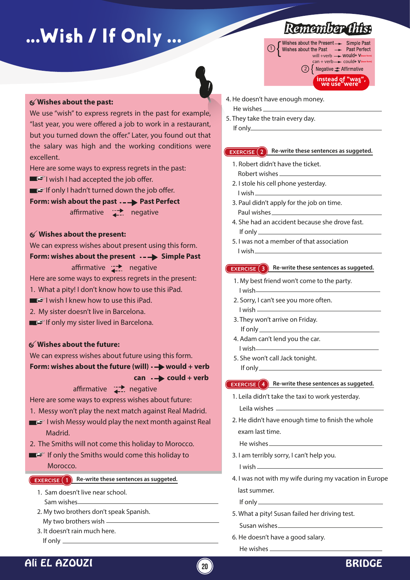# ...Wish / If Only ...



#### **Wishes about the past:**

We use "wish" to express regrets in the past for example, "last year, you were offered a job to work in a restaurant, but you turned down the offer." Later, you found out that the salary was high and the working conditions were excellent.

Here are some ways to express regrets in the past:

- $\blacksquare$  wish I had accepted the job offer.
- $\blacksquare$  If only I hadn't turned down the job offer.

**Form: wish about the past ---> Past Perfect** affirmative  $\overrightarrow{1}$  negative

#### **Wishes about the present:**

We can express wishes about present using this form.

#### **Form: wishes about the present · - > Simple Past**

affirmative  $\rightarrow$  negative

Here are some ways to express regrets in the present:

- 1. What a pity! I don't know how to use this iPad.
- $\blacksquare$  wish I knew how to use this iPad.
- 2. My sister doesn't live in Barcelona.
- If only my sister lived in Barcelona.

#### **Wishes about the future:**

We can express wishes about future using this form. **Form: wishes about the future (will)**  $\rightarrow$  **would + verb** can  $\rightarrow$  could + verb

### affirmative  $\rightarrow$  negative

Here are some ways to express wishes about future: 1. Messy won't play the next match against Real Madrid.

- $\blacksquare$  I wish Messy would play the next month against Real
- Madrid.
- 2. The Smiths will not come this holiday to Morocco.
- If only the Smiths would come this holiday to Morocco.

#### **EXERCISE 1 Re-write these sentences as suggeted.**

- 1. Sam doesn't live near school. Sam wishes
- 2. My two brothers don't speak Spanish. My two brothers wish
- 3. It doesn't rain much here. If only  $-$
- 4. He doesn't have enough money. He wishes
- 5. They take the train every day. If only

### **EXERCISE 2 Re-write these sentences as suggeted.**

◯ Suishes about the Present →

- 1. Robert didn't have the ticket. Robert wishes
- 2. I stole his cell phone yesterday. I wish
- 3. Paul didn't apply for the job on time. Paul wishes
- 4. She had an accident because she drove fast. If only
- 5. I was not a member of that association I wish

#### **EXERCISE 3 Re-write these sentences as suggeted.**

- 1. My best friend won't come to the party. I wish
- 2. Sorry, I can't see you more often. I wish
- 3. They won't arrive on Friday. If only
- 4. Adam can't lend you the car. I wish
- 5. She won't call Jack tonight. If only

#### **EXERCISE 4** Re-write these sentences as suggeted.

- 1. Leila didn't take the taxi to work yesterday. Leila wishes
- 2. He didn't have enough time to finish the whole exam last time.

He wishes

3. I am terribly sorry, I can't help you.

I wish

4. I was not with my wife during my vacation in Europe last summer.

If only

5. What a pity! Susan failed her driving test.

Susan wishes

6. He doesn't have a good salary. He wishes

## Ali EL AZOUZI **<sup>20</sup>** BRIDGE



# **Remember this:**<br>Wishes about the Present  $\rightarrow$  Simple Past

2<sup>2</sup> Negative **1** Affirmative

will +verb  $\longrightarrow$  WOUld+ V<sub>(base form</sub>) can + verb  $\rightarrow$  could+ V (base form)

Past Perfect

**instead of "was", we use"were"**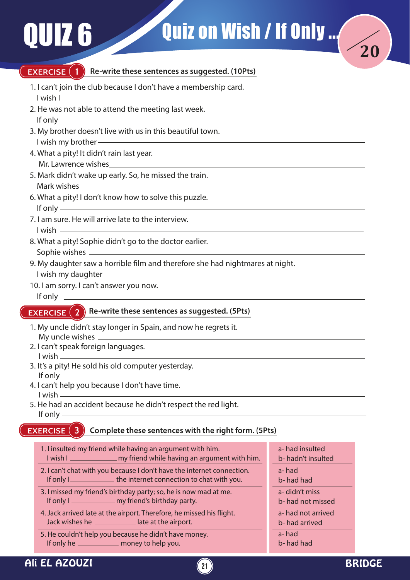**EXERCISE** (1



- 1. I can't join the club because I don't have a membership card. I wish I
- 2. He was not able to attend the meeting last week. If only
- 3. My brother doesn't live with us in this beautiful town. I wish my brother
- 4. What a pity! It didn't rain last year. Mr. Lawrence wishes
- 5. Mark didn't wake up early. So, he missed the train. Mark wishes
- 6. What a pity! I don't know how to solve this puzzle. If only
- 7. I am sure. He will arrive late to the interview. I wish
- 8. What a pity! Sophie didn't go to the doctor earlier. Sophie wishes
- 9. My daughter saw a horrible film and therefore she had nightmares at night.
- I wish my daughter
- 10. I am sorry. I can't answer you now. If only

## **EXERCISE (2) Re-write these sentences as suggested. (5Pts)**

- 1. My uncle didn't stay longer in Spain, and now he regrets it. My uncle wishes
- 2. I can't speak foreign languages. I wish
- 3. It's a pity! He sold his old computer yesterday. If only  $\overline{\phantom{0}}$
- 4. I can't help you because I don't have time. I wish
- 5. He had an accident because he didn't respect the red light. If only

#### **EXERCISE (3) Complete these sentences with the right form. (5Pts)**

- 1. I insulted my friend while having an argument with him. I wish I <u>entitled</u> my friend while having an argument with him. 2. I can't chat with you because I don't have the internet connection. If only I <u>see the internet connection</u> to chat with you. 3. I missed my friend's birthday party; so, he is now mad at me. If only I <u>my friend's birthday</u> party. 4. Jack arrived late at the airport. Therefore, he missed his flight.
- 5. He couldn't help you because he didn't have money. If only he \_\_\_\_\_\_\_\_\_\_\_\_\_\_ money to help you.

Jack wishes he \_\_\_\_\_\_\_\_\_\_\_\_\_ late at the airport.

a- had insulted b- hadn't insulted a- had b- had had a- didn't miss b- had not missed a- had not arrived b- had arrived a- had b- had had

**20**

**21**